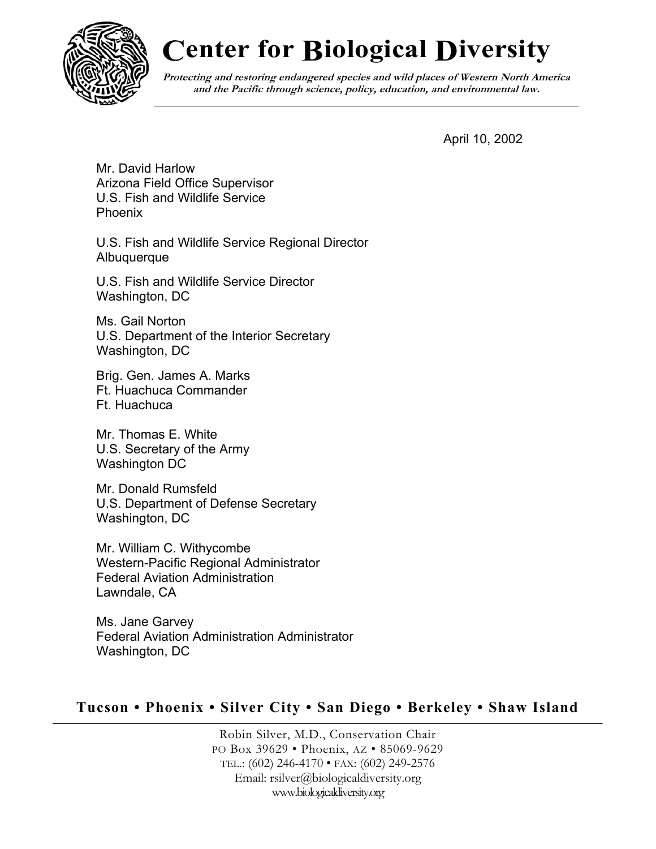

## **Center for Biological Diversity**

**Protecting and restoring endangered species and wild places of Western North America and the Pacific through science, policy, education, and environmental law.**

April 10, 2002

Mr. David Harlow Arizona Field Office Supervisor U.S. Fish and Wildlife Service Phoenix

U.S. Fish and Wildlife Service Regional Director **Albuquerque** 

U.S. Fish and Wildlife Service Director Washington, DC

Ms. Gail Norton U.S. Department of the Interior Secretary Washington, DC

Brig. Gen. James A. Marks Ft. Huachuca Commander Ft. Huachuca

Mr. Thomas E. White U.S. Secretary of the Army Washington DC

Mr. Donald Rumsfeld U.S. Department of Defense Secretary Washington, DC

Mr. William C. Withycombe Western-Pacific Regional Administrator Federal Aviation Administration Lawndale, CA

Ms. Jane Garvey Federal Aviation Administration Administrator Washington, DC

## **Tucson • Phoenix • Silver City • San Diego • Berkeley • Shaw Island**

Robin Silver, M.D., Conservation Chair PO Box 39629 • Phoenix, AZ • 85069-9629 TEL.: (602) 246-4170 • FAX: (602) 249-2576 Email: rsilver@biologicaldiversity.org www.biologicaldiversity.org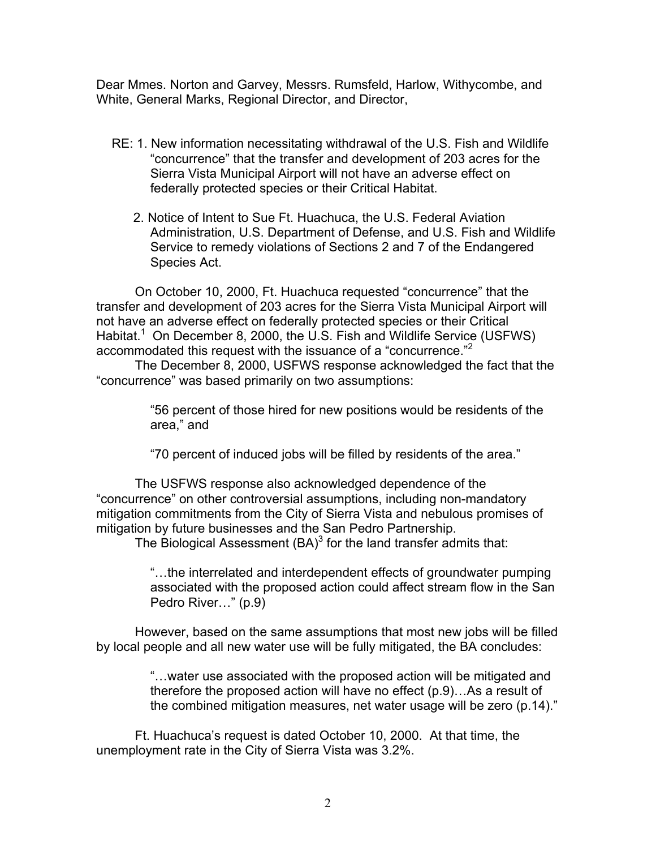Dear Mmes. Norton and Garvey, Messrs. Rumsfeld, Harlow, Withycombe, and White, General Marks, Regional Director, and Director,

- RE: 1. New information necessitating withdrawal of the U.S. Fish and Wildlife "concurrence" that the transfer and development of 203 acres for the Sierra Vista Municipal Airport will not have an adverse effect on federally protected species or their Critical Habitat.
	- 2. Notice of Intent to Sue Ft. Huachuca, the U.S. Federal Aviation Administration, U.S. Department of Defense, and U.S. Fish and Wildlife Service to remedy violations of Sections 2 and 7 of the Endangered Species Act.

On October 10, 2000, Ft. Huachuca requested "concurrence" that the transfer and development of 203 acres for the Sierra Vista Municipal Airport will not have an adverse effect on federally protected species or their Critical Habitat.<sup>[1](#page-6-0)</sup> On December 8, 2000, the U.S. Fish and Wildlife Service (USFWS) accommodated this request with the issuance of a "concurrence."<sup>[2](#page-6-1)</sup>

The December 8, 2000, USFWS response acknowledged the fact that the "concurrence" was based primarily on two assumptions:

> "56 percent of those hired for new positions would be residents of the area," and

"70 percent of induced jobs will be filled by residents of the area."

The USFWS response also acknowledged dependence of the "concurrence" on other controversial assumptions, including non-mandatory mitigation commitments from the City of Sierra Vista and nebulous promises of mitigation by future businesses and the San Pedro Partnership.

The Biological Assessment  $(BA)^3$  $(BA)^3$  for the land transfer admits that:

"…the interrelated and interdependent effects of groundwater pumping associated with the proposed action could affect stream flow in the San Pedro River…" (p.9)

However, based on the same assumptions that most new jobs will be filled by local people and all new water use will be fully mitigated, the BA concludes:

> "…water use associated with the proposed action will be mitigated and therefore the proposed action will have no effect (p.9)…As a result of the combined mitigation measures, net water usage will be zero (p.14)."

Ft. Huachuca's request is dated October 10, 2000. At that time, the unemployment rate in the City of Sierra Vista was 3.2%.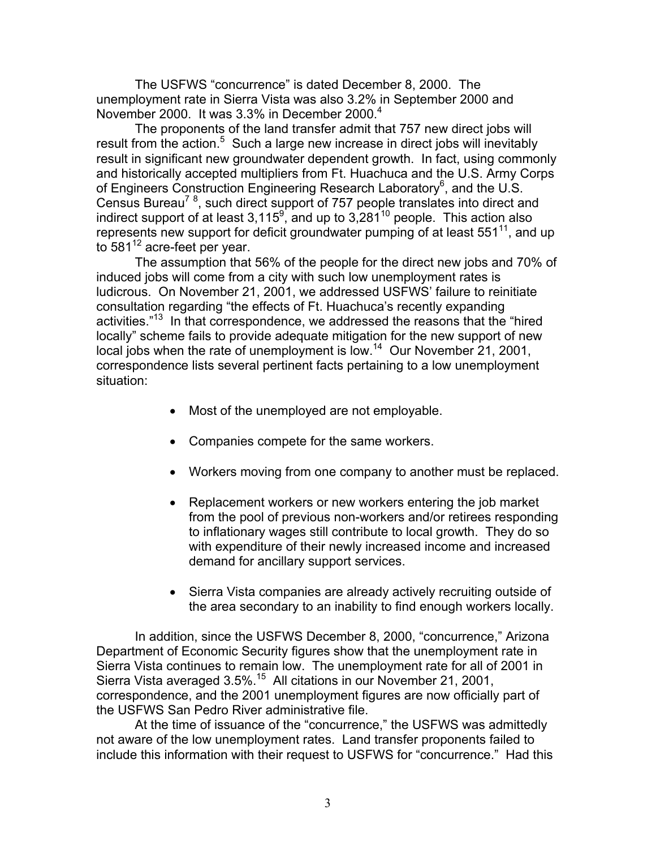The USFWS "concurrence" is dated December 8, 2000. The unemployment rate in Sierra Vista was also 3.2% in September 2000 and November 2000. It was 3.3% in December 2000.<sup>4</sup>

The proponents of the land transfer admit that 757 new direct jobs will result from the action.<sup>[5](#page-6-4)</sup> Such a large new increase in direct jobs will inevitably result in significant new groundwater dependent growth. In fact, using commonly and historically accepted multipliers from Ft. Huachuca and the U.S. Army Corps of Engineers Construction Engineering Research Laboratory<sup>[6](#page-6-5)</sup>, and the U.S. Census Bureau<sup>[7](#page-6-6)[8](#page-6-6)</sup>, such direct support of 757 people translates into direct and indirect support of at least 3,115<sup>[9](#page-6-7)</sup>, and up to 3,281<sup>10</sup> people. This action also represents new support for deficit groundwater pumping of at least  $551^{11}$ , and up to  $581^{12}$  acre-feet per year.

The assumption that 56% of the people for the direct new jobs and 70% of induced jobs will come from a city with such low unemployment rates is ludicrous. On November 21, 2001, we addressed USFWS' failure to reinitiate consultation regarding "the effects of Ft. Huachuca's recently expanding activities."<sup>13</sup> In that correspondence, we addressed the reasons that the "hired locally" scheme fails to provide adequate mitigation for the new support of new local jobs when the rate of unemployment is low.<sup>14</sup> Our November 21, 2001, correspondence lists several pertinent facts pertaining to a low unemployment situation:

- Most of the unemployed are not employable.
- Companies compete for the same workers.
- Workers moving from one company to another must be replaced.
- Replacement workers or new workers entering the job market from the pool of previous non-workers and/or retirees responding to inflationary wages still contribute to local growth. They do so with expenditure of their newly increased income and increased demand for ancillary support services.
- Sierra Vista companies are already actively recruiting outside of the area secondary to an inability to find enough workers locally.

In addition, since the USFWS December 8, 2000, "concurrence," Arizona Department of Economic Security figures show that the unemployment rate in Sierra Vista continues to remain low. The unemployment rate for all of 2001 in Sierra Vista averaged 3.5%.<sup>15</sup> All citations in our November 21, 2001, correspondence, and the 2001 unemployment figures are now officially part of the USFWS San Pedro River administrative file.

At the time of issuance of the "concurrence," the USFWS was admittedly not aware of the low unemployment rates. Land transfer proponents failed to include this information with their request to USFWS for "concurrence." Had this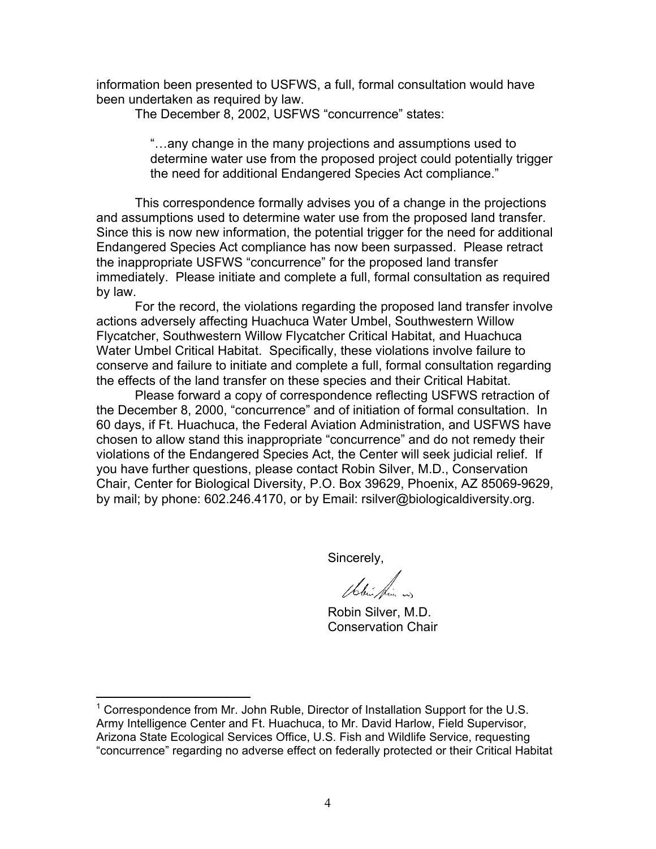information been presented to USFWS, a full, formal consultation would have been undertaken as required by law.

The December 8, 2002, USFWS "concurrence" states:

"…any change in the many projections and assumptions used to determine water use from the proposed project could potentially trigger the need for additional Endangered Species Act compliance."

This correspondence formally advises you of a change in the projections and assumptions used to determine water use from the proposed land transfer. Since this is now new information, the potential trigger for the need for additional Endangered Species Act compliance has now been surpassed. Please retract the inappropriate USFWS "concurrence" for the proposed land transfer immediately. Please initiate and complete a full, formal consultation as required by law.

For the record, the violations regarding the proposed land transfer involve actions adversely affecting Huachuca Water Umbel, Southwestern Willow Flycatcher, Southwestern Willow Flycatcher Critical Habitat, and Huachuca Water Umbel Critical Habitat. Specifically, these violations involve failure to conserve and failure to initiate and complete a full, formal consultation regarding the effects of the land transfer on these species and their Critical Habitat.

Please forward a copy of correspondence reflecting USFWS retraction of the December 8, 2000, "concurrence" and of initiation of formal consultation. In 60 days, if Ft. Huachuca, the Federal Aviation Administration, and USFWS have chosen to allow stand this inappropriate "concurrence" and do not remedy their violations of the Endangered Species Act, the Center will seek judicial relief. If you have further questions, please contact Robin Silver, M.D., Conservation Chair, Center for Biological Diversity, P.O. Box 39629, Phoenix, AZ 85069-9629, by mail; by phone: 602.246.4170, or by Email: rsilver@biologicaldiversity.org.

Sincerely,

 $168.$ 

 Robin Silver, M.D. Conservation Chair

 $\overline{a}$ 

<sup>&</sup>lt;sup>1</sup> Correspondence from Mr. John Ruble, Director of Installation Support for the U.S. Army Intelligence Center and Ft. Huachuca, to Mr. David Harlow, Field Supervisor, Arizona State Ecological Services Office, U.S. Fish and Wildlife Service, requesting "concurrence" regarding no adverse effect on federally protected or their Critical Habitat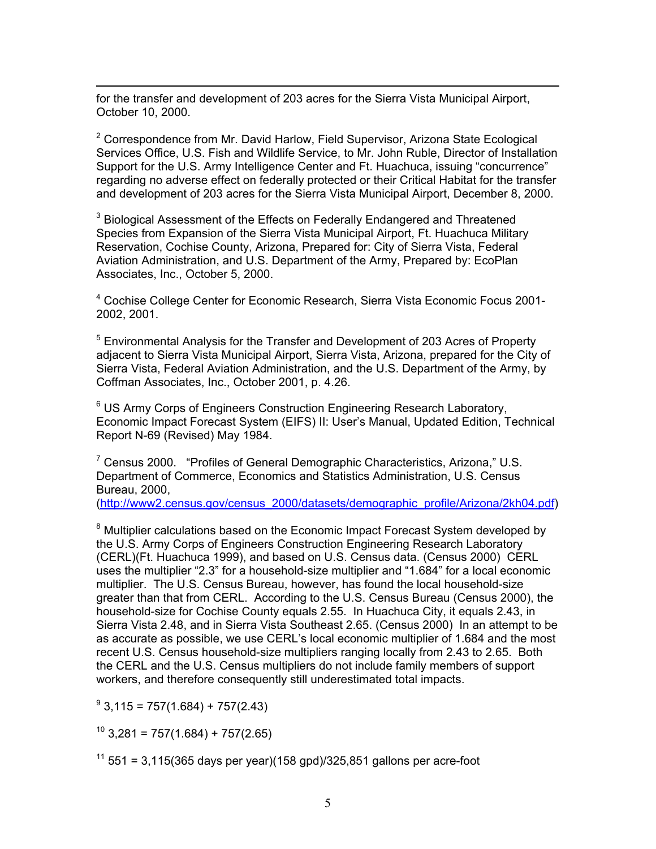$\overline{a}$ for the transfer and development of 203 acres for the Sierra Vista Municipal Airport, October 10, 2000.

<sup>2</sup> Correspondence from Mr. David Harlow, Field Supervisor, Arizona State Ecological Services Office, U.S. Fish and Wildlife Service, to Mr. John Ruble, Director of Installation Support for the U.S. Army Intelligence Center and Ft. Huachuca, issuing "concurrence" regarding no adverse effect on federally protected or their Critical Habitat for the transfer and development of 203 acres for the Sierra Vista Municipal Airport, December 8, 2000.

 $3$  Biological Assessment of the Effects on Federally Endangered and Threatened Species from Expansion of the Sierra Vista Municipal Airport, Ft. Huachuca Military Reservation, Cochise County, Arizona, Prepared for: City of Sierra Vista, Federal Aviation Administration, and U.S. Department of the Army, Prepared by: EcoPlan Associates, Inc., October 5, 2000.

<sup>4</sup> Cochise College Center for Economic Research, Sierra Vista Economic Focus 2001-2002, 2001.

<sup>5</sup> Environmental Analysis for the Transfer and Development of 203 Acres of Property adjacent to Sierra Vista Municipal Airport, Sierra Vista, Arizona, prepared for the City of Sierra Vista, Federal Aviation Administration, and the U.S. Department of the Army, by Coffman Associates, Inc., October 2001, p. 4.26.

<sup>6</sup> US Army Corps of Engineers Construction Engineering Research Laboratory, Economic Impact Forecast System (EIFS) II: User's Manual, Updated Edition, Technical Report N-69 (Revised) May 1984.

<sup>7</sup> Census 2000. "Profiles of General Demographic Characteristics, Arizona," U.S. Department of Commerce, Economics and Statistics Administration, U.S. Census Bureau, 2000,

([http://www2.census.gov/census\\_2000/datasets/demographic\\_profile/Arizona/2kh04.pdf\)](http://www2.census.gov/census_2000/datasets/demographic_profile/Arizona/2kh04.pdf)

<sup>8</sup> Multiplier calculations based on the Economic Impact Forecast System developed by the U.S. Army Corps of Engineers Construction Engineering Research Laboratory (CERL)(Ft. Huachuca 1999), and based on U.S. Census data. (Census 2000) CERL uses the multiplier "2.3" for a household-size multiplier and "1.684" for a local economic multiplier. The U.S. Census Bureau, however, has found the local household-size greater than that from CERL. According to the U.S. Census Bureau (Census 2000), the household-size for Cochise County equals 2.55. In Huachuca City, it equals 2.43, in Sierra Vista 2.48, and in Sierra Vista Southeast 2.65. (Census 2000) In an attempt to be as accurate as possible, we use CERL's local economic multiplier of 1.684 and the most recent U.S. Census household-size multipliers ranging locally from 2.43 to 2.65. Both the CERL and the U.S. Census multipliers do not include family members of support workers, and therefore consequently still underestimated total impacts.

 $9$  3,115 = 757(1.684) + 757(2.43)

 $10$  3,281 = 757(1.684) + 757(2.65)

 $11$  551 = 3,115(365 days per year)(158 gpd)/325,851 gallons per acre-foot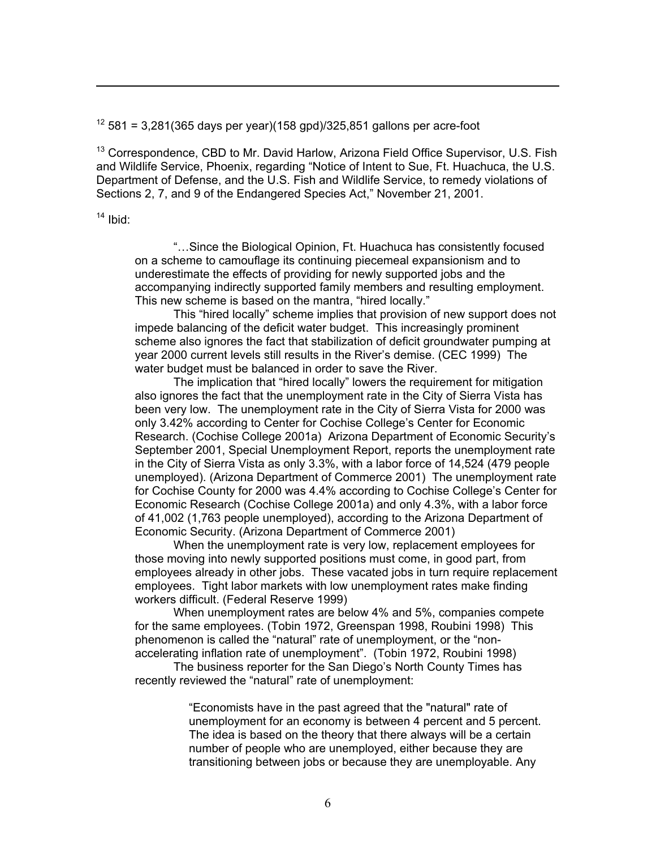$12$  581 = 3,281(365 days per year)(158 gpd)/325,851 gallons per acre-foot

<sup>13</sup> Correspondence, CBD to Mr. David Harlow, Arizona Field Office Supervisor, U.S. Fish and Wildlife Service, Phoenix, regarding "Notice of Intent to Sue, Ft. Huachuca, the U.S. Department of Defense, and the U.S. Fish and Wildlife Service, to remedy violations of Sections 2, 7, and 9 of the Endangered Species Act," November 21, 2001.

 $14$  Ibid:

 $\overline{a}$ 

"…Since the Biological Opinion, Ft. Huachuca has consistently focused on a scheme to camouflage its continuing piecemeal expansionism and to underestimate the effects of providing for newly supported jobs and the accompanying indirectly supported family members and resulting employment. This new scheme is based on the mantra, "hired locally."

This "hired locally" scheme implies that provision of new support does not impede balancing of the deficit water budget. This increasingly prominent scheme also ignores the fact that stabilization of deficit groundwater pumping at year 2000 current levels still results in the River's demise. (CEC 1999) The water budget must be balanced in order to save the River.

The implication that "hired locally" lowers the requirement for mitigation also ignores the fact that the unemployment rate in the City of Sierra Vista has been very low. The unemployment rate in the City of Sierra Vista for 2000 was only 3.42% according to Center for Cochise College's Center for Economic Research. (Cochise College 2001a) Arizona Department of Economic Security's September 2001, Special Unemployment Report, reports the unemployment rate in the City of Sierra Vista as only 3.3%, with a labor force of 14,524 (479 people unemployed). (Arizona Department of Commerce 2001) The unemployment rate for Cochise County for 2000 was 4.4% according to Cochise College's Center for Economic Research (Cochise College 2001a) and only 4.3%, with a labor force of 41,002 (1,763 people unemployed), according to the Arizona Department of Economic Security. (Arizona Department of Commerce 2001)

When the unemployment rate is very low, replacement employees for those moving into newly supported positions must come, in good part, from employees already in other jobs. These vacated jobs in turn require replacement employees. Tight labor markets with low unemployment rates make finding workers difficult. (Federal Reserve 1999)

When unemployment rates are below 4% and 5%, companies compete for the same employees. (Tobin 1972, Greenspan 1998, Roubini 1998) This phenomenon is called the "natural" rate of unemployment, or the "nonaccelerating inflation rate of unemployment". (Tobin 1972, Roubini 1998)

The business reporter for the San Diego's North County Times has recently reviewed the "natural" rate of unemployment:

> "Economists have in the past agreed that the "natural" rate of unemployment for an economy is between 4 percent and 5 percent. The idea is based on the theory that there always will be a certain number of people who are unemployed, either because they are transitioning between jobs or because they are unemployable. Any